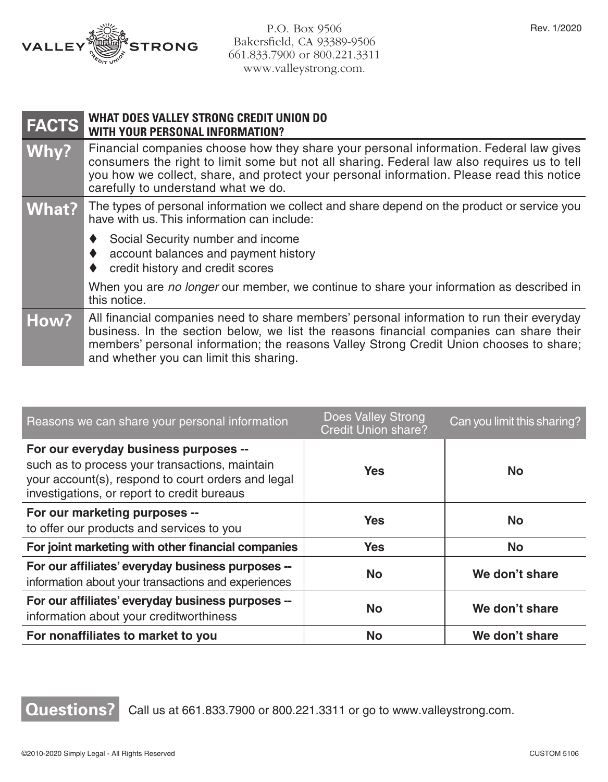

P.O. Box 9506 Bakersfield, CA 93389-9506 661.833.7900 or 800.221.3311 www.valleystrong.com.

| <b>FACTS</b> | <b>WHAT DOES VALLEY STRONG CREDIT UNION DO</b><br><b>WITH YOUR PERSONAL INFORMATION?</b>                                                                                                                                                                                                                                   |  |
|--------------|----------------------------------------------------------------------------------------------------------------------------------------------------------------------------------------------------------------------------------------------------------------------------------------------------------------------------|--|
| Why?         | Financial companies choose how they share your personal information. Federal law gives<br>consumers the right to limit some but not all sharing. Federal law also requires us to tell<br>you how we collect, share, and protect your personal information. Please read this notice<br>carefully to understand what we do.  |  |
| <b>What?</b> | The types of personal information we collect and share depend on the product or service you<br>have with us. This information can include:                                                                                                                                                                                 |  |
|              | Social Security number and income<br>account balances and payment history<br>credit history and credit scores                                                                                                                                                                                                              |  |
|              | When you are no longer our member, we continue to share your information as described in<br>this notice.                                                                                                                                                                                                                   |  |
| How?         | All financial companies need to share members' personal information to run their everyday<br>business. In the section below, we list the reasons financial companies can share their<br>members' personal information; the reasons Valley Strong Credit Union chooses to share;<br>and whether you can limit this sharing. |  |

| Reasons we can share your personal information                                                                                                                                               | <b>Does Valley Strong</b><br>Credit Union share? | Can you limit this sharing? |
|----------------------------------------------------------------------------------------------------------------------------------------------------------------------------------------------|--------------------------------------------------|-----------------------------|
| For our everyday business purposes --<br>such as to process your transactions, maintain<br>your account(s), respond to court orders and legal<br>investigations, or report to credit bureaus | Yes                                              | No.                         |
| For our marketing purposes --<br>to offer our products and services to you                                                                                                                   | <b>Yes</b>                                       | <b>No</b>                   |
| For joint marketing with other financial companies                                                                                                                                           | <b>Yes</b>                                       | <b>No</b>                   |
| For our affiliates' everyday business purposes --<br>information about your transactions and experiences                                                                                     | <b>No</b>                                        | We don't share              |
| For our affiliates' everyday business purposes --<br>information about your creditworthiness                                                                                                 | <b>No</b>                                        | We don't share              |
| For nonaffiliates to market to you                                                                                                                                                           | <b>No</b>                                        | We don't share              |

## **Questions?** Call us at 661.833.7900 or 800.221.3311 or go to www.valleystrong.com.